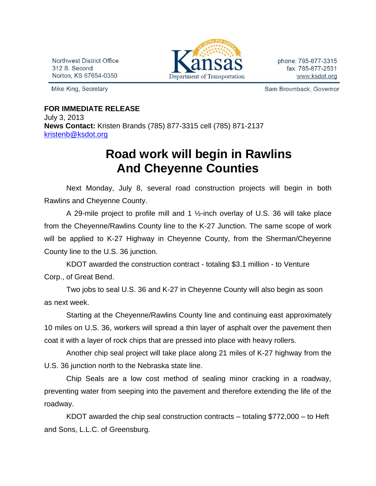Northwest District Office 312 S. Second Norton, KS 67654-0350

Mike King, Secretary



phone: 785-877-3315 fax: 785-877-2531 www.ksdot.org

Sam Brownback, Governor

## **FOR IMMEDIATE RELEASE** July 3, 2013

**News Contact:** Kristen Brands (785) 877-3315 cell (785) 871-2137 [kristenb@ksdot.org](mailto:kristenb@ksdot.org)

## **Road work will begin in Rawlins And Cheyenne Counties**

Next Monday, July 8, several road construction projects will begin in both Rawlins and Cheyenne County.

A 29-mile project to profile mill and 1 ½-inch overlay of U.S. 36 will take place from the Cheyenne/Rawlins County line to the K-27 Junction. The same scope of work will be applied to K-27 Highway in Cheyenne County, from the Sherman/Cheyenne County line to the U.S. 36 junction.

KDOT awarded the construction contract - totaling \$3.1 million - to Venture Corp., of Great Bend.

Two jobs to seal U.S. 36 and K-27 in Cheyenne County will also begin as soon as next week.

Starting at the Cheyenne/Rawlins County line and continuing east approximately 10 miles on U.S. 36, workers will spread a thin layer of asphalt over the pavement then coat it with a layer of rock chips that are pressed into place with heavy rollers.

Another chip seal project will take place along 21 miles of K-27 highway from the U.S. 36 junction north to the Nebraska state line.

Chip Seals are a low cost method of sealing minor cracking in a roadway, preventing water from seeping into the pavement and therefore extending the life of the roadway.

KDOT awarded the chip seal construction contracts – totaling \$772,000 – to Heft and Sons, L.L.C. of Greensburg.